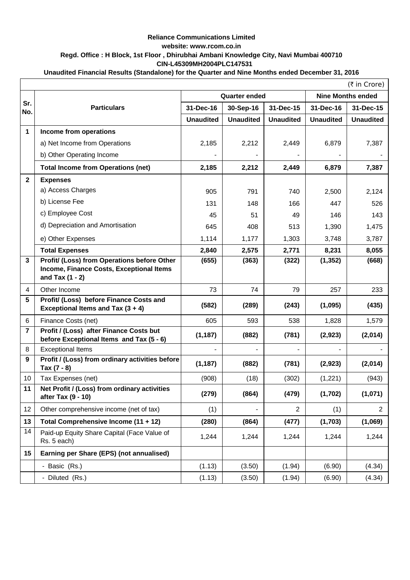## **Reliance Communications Limited website: www.rcom.co.in Regd. Office : H Block, 1st Floor , Dhirubhai Ambani Knowledge City, Navi Mumbai 400710 CIN-L45309MH2004PLC147531**

## **Unaudited Financial Results (Standalone) for the Quarter and Nine Months ended December 31, 2016**

|                | $($ ₹ in Crore)                                                      |                  |                      |                  |                          |                  |  |
|----------------|----------------------------------------------------------------------|------------------|----------------------|------------------|--------------------------|------------------|--|
|                |                                                                      |                  | <b>Quarter ended</b> |                  | <b>Nine Months ended</b> |                  |  |
| Sr.<br>No.     | <b>Particulars</b>                                                   | 31-Dec-16        | 30-Sep-16            | 31-Dec-15        | 31-Dec-16                | 31-Dec-15        |  |
|                |                                                                      | <b>Unaudited</b> | <b>Unaudited</b>     | <b>Unaudited</b> | <b>Unaudited</b>         | <b>Unaudited</b> |  |
| $\mathbf 1$    | Income from operations                                               |                  |                      |                  |                          |                  |  |
|                | a) Net Income from Operations                                        | 2,185            | 2,212                | 2,449            | 6,879                    | 7,387            |  |
|                | b) Other Operating Income                                            |                  |                      |                  |                          |                  |  |
|                | <b>Total Income from Operations (net)</b>                            | 2,185            | 2,212                | 2,449            | 6,879                    | 7,387            |  |
| 2 <sup>1</sup> | <b>Expenses</b>                                                      |                  |                      |                  |                          |                  |  |
|                | a) Access Charges                                                    | 905              | 791                  | 740              | 2,500                    | 2,124            |  |
|                | b) License Fee                                                       | 131              | 148                  | 166              | 447                      | 526              |  |
|                | c) Employee Cost                                                     | 45               | 51                   | 49               | 146                      | 143              |  |
|                | d) Depreciation and Amortisation                                     | 645              | 408                  | 513              | 1,390                    | 1,475            |  |
|                | e) Other Expenses                                                    | 1,114            | 1,177                | 1,303            | 3,748                    | 3,787            |  |
|                | <b>Total Expenses</b>                                                | 2,840            | 2,575                | 2,771            | 8,231                    | 8,055            |  |
| $\mathbf{3}$   | Profit/ (Loss) from Operations before Other                          | (655)            | (363)                | (322)            | (1, 352)                 | (668)            |  |
|                | Income, Finance Costs, Exceptional Items<br>and Tax $(1 - 2)$        |                  |                      |                  |                          |                  |  |
| $\overline{4}$ | Other Income                                                         | 73               | 74                   | 79               | 257                      | 233              |  |
| 5              | Profit/ (Loss) before Finance Costs and                              |                  |                      |                  |                          |                  |  |
|                | Exceptional Items and Tax $(3 + 4)$                                  | (582)            | (289)                | (243)            | (1,095)                  | (435)            |  |
| 6              | Finance Costs (net)                                                  | 605              | 593                  | 538              | 1,828                    | 1,579            |  |
| $\overline{7}$ | Profit / (Loss) after Finance Costs but                              | (1, 187)         | (882)                | (781)            | (2, 923)                 | (2,014)          |  |
| 8              | before Exceptional Items and Tax (5 - 6)<br><b>Exceptional Items</b> |                  | Ξ.                   |                  |                          |                  |  |
| 9              | Profit / (Loss) from ordinary activities before                      |                  |                      |                  |                          |                  |  |
|                | Tax $(7 - 8)$                                                        | (1, 187)         | (882)                | (781)            | (2,923)                  | (2,014)          |  |
| 10             | Tax Expenses (net)                                                   | (908)            | (18)                 | (302)            | (1,221)                  | (943)            |  |
| 11             | Net Profit / (Loss) from ordinary activities<br>after Tax (9 - 10)   | (279)            | (864)                | (479)            | (1,702)                  | (1,071)          |  |
| 12             | Other comprehensive income (net of tax)                              | (1)              |                      | 2                | (1)                      | $\overline{2}$   |  |
| 13             | Total Comprehensive Income (11 + 12)                                 | (280)            | (864)                | (477)            | (1,703)                  | (1,069)          |  |
| 14             | Paid-up Equity Share Capital (Face Value of<br>Rs. 5 each)           | 1,244            | 1,244                | 1,244            | 1,244                    | 1,244            |  |
| 15             | Earning per Share (EPS) (not annualised)                             |                  |                      |                  |                          |                  |  |
|                | - Basic (Rs.)                                                        | (1.13)           | (3.50)               | (1.94)           | (6.90)                   | (4.34)           |  |
|                | - Diluted (Rs.)                                                      | (1.13)           | (3.50)               | (1.94)           | (6.90)                   | (4.34)           |  |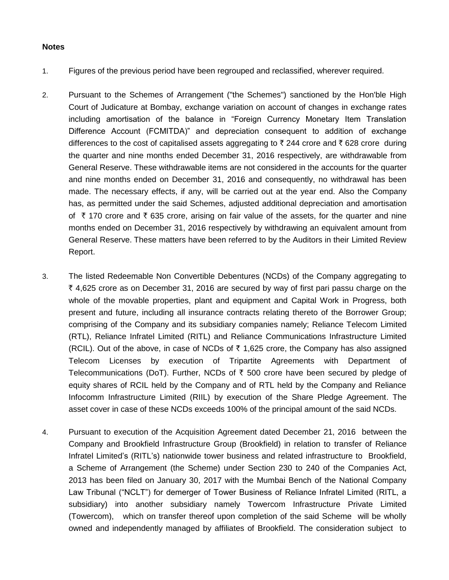## **Notes**

- 1. Figures of the previous period have been regrouped and reclassified, wherever required.
- 2. Pursuant to the Schemes of Arrangement ("the Schemes") sanctioned by the Hon'ble High Court of Judicature at Bombay, exchange variation on account of changes in exchange rates including amortisation of the balance in "Foreign Currency Monetary Item Translation Difference Account (FCMITDA)" and depreciation consequent to addition of exchange differences to the cost of capitalised assets aggregating to  $\bar{\tau}$  244 crore and  $\bar{\tau}$  628 crore during the quarter and nine months ended December 31, 2016 respectively, are withdrawable from General Reserve. These withdrawable items are not considered in the accounts for the quarter and nine months ended on December 31, 2016 and consequently, no withdrawal has been made. The necessary effects, if any, will be carried out at the year end. Also the Company has, as permitted under the said Schemes, adjusted additional depreciation and amortisation of  $\overline{\tau}$  170 crore and  $\overline{\tau}$  635 crore, arising on fair value of the assets, for the quarter and nine months ended on December 31, 2016 respectively by withdrawing an equivalent amount from General Reserve. These matters have been referred to by the Auditors in their Limited Review Report.
- 3. The listed Redeemable Non Convertible Debentures (NCDs) of the Company aggregating to ₹ 4,625 crore as on December 31, 2016 are secured by way of first pari passu charge on the whole of the movable properties, plant and equipment and Capital Work in Progress, both present and future, including all insurance contracts relating thereto of the Borrower Group; comprising of the Company and its subsidiary companies namely; Reliance Telecom Limited (RTL), Reliance Infratel Limited (RITL) and Reliance Communications Infrastructure Limited (RCIL). Out of the above, in case of NCDs of  $\bar{\tau}$  1,625 crore, the Company has also assigned Telecom Licenses by execution of Tripartite Agreements with Department of Telecommunications (DoT). Further, NCDs of  $\bar{\tau}$  500 crore have been secured by pledge of equity shares of RCIL held by the Company and of RTL held by the Company and Reliance Infocomm Infrastructure Limited (RIIL) by execution of the Share Pledge Agreement. The asset cover in case of these NCDs exceeds 100% of the principal amount of the said NCDs.
- 4. Pursuant to execution of the Acquisition Agreement dated December 21, 2016 between the Company and Brookfield Infrastructure Group (Brookfield) in relation to transfer of Reliance Infratel Limited's (RITL's) nationwide tower business and related infrastructure to Brookfield, a Scheme of Arrangement (the Scheme) under Section 230 to 240 of the Companies Act, 2013 has been filed on January 30, 2017 with the Mumbai Bench of the National Company Law Tribunal ("NCLT") for demerger of Tower Business of Reliance Infratel Limited (RITL, a subsidiary) into another subsidiary namely Towercom Infrastructure Private Limited (Towercom), which on transfer thereof upon completion of the said Scheme will be wholly owned and independently managed by affiliates of Brookfield. The consideration subject to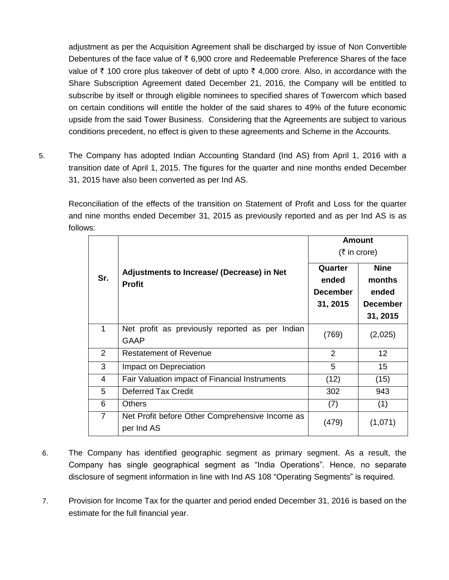adjustment as per the Acquisition Agreement shall be discharged by issue of Non Convertible Debentures of the face value of  $\bar{\tau}$  6,900 crore and Redeemable Preference Shares of the face value of  $\bar{\tau}$  100 crore plus takeover of debt of upto  $\bar{\tau}$  4,000 crore. Also, in accordance with the Share Subscription Agreement dated December 21, 2016, the Company will be entitled to subscribe by itself or through eligible nominees to specified shares of Towercom which based on certain conditions will entitle the holder of the said shares to 49% of the future economic upside from the said Tower Business. Considering that the Agreements are subject to various conditions precedent, no effect is given to these agreements and Scheme in the Accounts.

5. The Company has adopted Indian Accounting Standard (Ind AS) from April 1, 2016 with a transition date of April 1, 2015. The figures for the quarter and nine months ended December 31, 2015 have also been converted as per Ind AS.

Reconciliation of the effects of the transition on Statement of Profit and Loss for the quarter and nine months ended December 31, 2015 as previously reported and as per Ind AS is as follows:

|                |                                                               | <b>Amount</b><br>$(5 \text{ in } \text{core})$  |                                                               |  |
|----------------|---------------------------------------------------------------|-------------------------------------------------|---------------------------------------------------------------|--|
| Sr.            | Adjustments to Increase/ (Decrease) in Net<br><b>Profit</b>   | Quarter<br>ended<br><b>December</b><br>31, 2015 | <b>Nine</b><br>months<br>ended<br><b>December</b><br>31, 2015 |  |
| 1              | Net profit as previously reported as per Indian<br>GAAP       | (769)                                           | (2,025)                                                       |  |
| 2              | <b>Restatement of Revenue</b>                                 | 2                                               | 12 <sup>2</sup>                                               |  |
| 3              | Impact on Depreciation                                        | 5                                               | 15 <sup>1</sup>                                               |  |
| 4              | Fair Valuation impact of Financial Instruments                | (12)                                            | (15)                                                          |  |
| 5              | <b>Deferred Tax Credit</b>                                    | 302                                             | 943                                                           |  |
| 6              | <b>Others</b>                                                 | (7)                                             | (1)                                                           |  |
| $\overline{7}$ | Net Profit before Other Comprehensive Income as<br>per Ind AS | (479)                                           | (1,071)                                                       |  |

- 6. The Company has identified geographic segment as primary segment. As a result, the Company has single geographical segment as "India Operations". Hence, no separate disclosure of segment information in line with Ind AS 108 "Operating Segments" is required.
- 7. Provision for Income Tax for the quarter and period ended December 31, 2016 is based on the estimate for the full financial year.